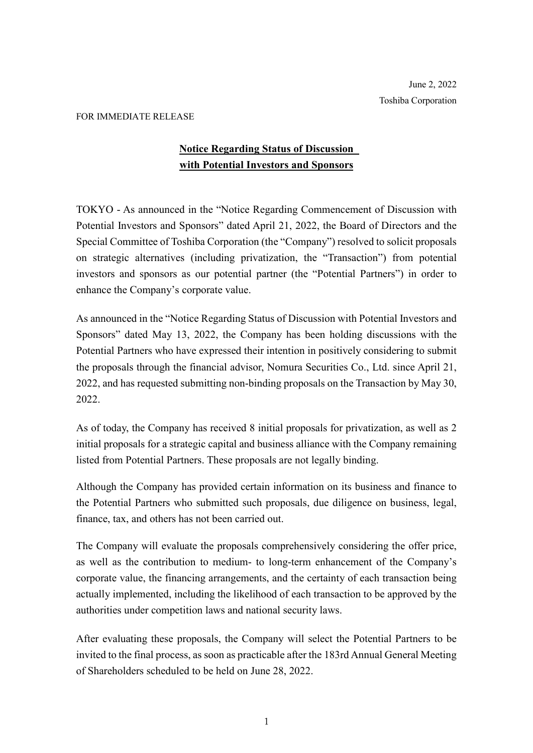## FOR IMMEDIATE RELEASE

## **Notice Regarding Status of Discussion with Potential Investors and Sponsors**

TOKYO - As announced in the "Notice Regarding Commencement of Discussion with Potential Investors and Sponsors" dated April 21, 2022, the Board of Directors and the Special Committee of Toshiba Corporation (the "Company") resolved to solicit proposals on strategic alternatives (including privatization, the "Transaction") from potential investors and sponsors as our potential partner (the "Potential Partners") in order to enhance the Company's corporate value.

As announced in the "Notice Regarding Status of Discussion with Potential Investors and Sponsors" dated May 13, 2022, the Company has been holding discussions with the Potential Partners who have expressed their intention in positively considering to submit the proposals through the financial advisor, Nomura Securities Co., Ltd. since April 21, 2022, and has requested submitting non-binding proposals on the Transaction by May 30, 2022.

As of today, the Company has received 8 initial proposals for privatization, as well as 2 initial proposals for a strategic capital and business alliance with the Company remaining listed from Potential Partners. These proposals are not legally binding.

Although the Company has provided certain information on its business and finance to the Potential Partners who submitted such proposals, due diligence on business, legal, finance, tax, and others has not been carried out.

The Company will evaluate the proposals comprehensively considering the offer price, as well as the contribution to medium- to long-term enhancement of the Company's corporate value, the financing arrangements, and the certainty of each transaction being actually implemented, including the likelihood of each transaction to be approved by the authorities under competition laws and national security laws.

After evaluating these proposals, the Company will select the Potential Partners to be invited to the final process, as soon as practicable after the 183rd Annual General Meeting of Shareholders scheduled to be held on June 28, 2022.